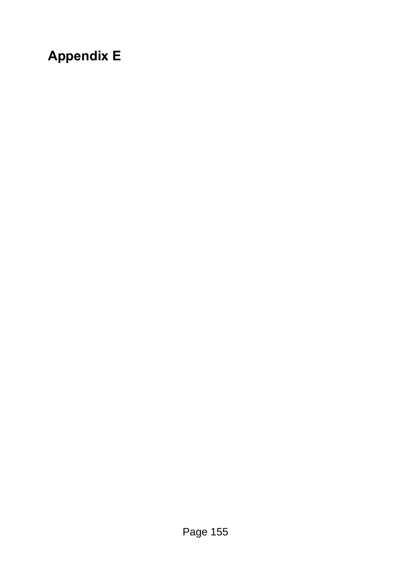## **Appendix E**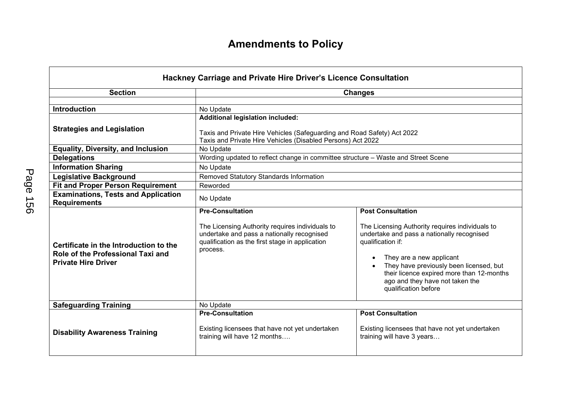## **Amendments to Policy**

| Hackney Carriage and Private Hire Driver's Licence Consultation                                           |                                                                                                                                                                                                             |                                                                                                                                                                                                                                                                                                                               |  |  |
|-----------------------------------------------------------------------------------------------------------|-------------------------------------------------------------------------------------------------------------------------------------------------------------------------------------------------------------|-------------------------------------------------------------------------------------------------------------------------------------------------------------------------------------------------------------------------------------------------------------------------------------------------------------------------------|--|--|
| <b>Section</b>                                                                                            | <b>Changes</b>                                                                                                                                                                                              |                                                                                                                                                                                                                                                                                                                               |  |  |
| <b>Introduction</b><br><b>Strategies and Legislation</b><br><b>Equality, Diversity, and Inclusion</b>     | No Update<br><b>Additional legislation included:</b><br>Taxis and Private Hire Vehicles (Safeguarding and Road Safety) Act 2022<br>Taxis and Private Hire Vehicles (Disabled Persons) Act 2022<br>No Update |                                                                                                                                                                                                                                                                                                                               |  |  |
| <b>Delegations</b>                                                                                        | Wording updated to reflect change in committee structure - Waste and Street Scene                                                                                                                           |                                                                                                                                                                                                                                                                                                                               |  |  |
| <b>Information Sharing</b>                                                                                | No Update                                                                                                                                                                                                   |                                                                                                                                                                                                                                                                                                                               |  |  |
| <b>Legislative Background</b>                                                                             | Removed Statutory Standards Information                                                                                                                                                                     |                                                                                                                                                                                                                                                                                                                               |  |  |
| <b>Fit and Proper Person Requirement</b>                                                                  | Reworded                                                                                                                                                                                                    |                                                                                                                                                                                                                                                                                                                               |  |  |
| <b>Examinations, Tests and Application</b><br><b>Requirements</b>                                         | No Update                                                                                                                                                                                                   |                                                                                                                                                                                                                                                                                                                               |  |  |
| Certificate in the Introduction to the<br>Role of the Professional Taxi and<br><b>Private Hire Driver</b> | <b>Pre-Consultation</b><br>The Licensing Authority requires individuals to<br>undertake and pass a nationally recognised<br>qualification as the first stage in application<br>process.                     | <b>Post Consultation</b><br>The Licensing Authority requires individuals to<br>undertake and pass a nationally recognised<br>qualification if:<br>They are a new applicant<br>They have previously been licensed, but<br>their licence expired more than 12-months<br>ago and they have not taken the<br>qualification before |  |  |
| <b>Safeguarding Training</b>                                                                              | No Update                                                                                                                                                                                                   |                                                                                                                                                                                                                                                                                                                               |  |  |
| <b>Disability Awareness Training</b>                                                                      | <b>Pre-Consultation</b><br>Existing licensees that have not yet undertaken<br>training will have 12 months                                                                                                  | <b>Post Consultation</b><br>Existing licensees that have not yet undertaken<br>training will have 3 years                                                                                                                                                                                                                     |  |  |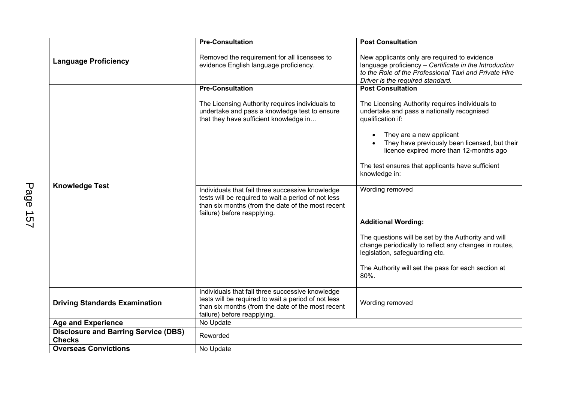|                                                              | <b>Pre-Consultation</b>                                                                                                                                                                     | <b>Post Consultation</b>                                                                                                                                                                            |
|--------------------------------------------------------------|---------------------------------------------------------------------------------------------------------------------------------------------------------------------------------------------|-----------------------------------------------------------------------------------------------------------------------------------------------------------------------------------------------------|
| <b>Language Proficiency</b>                                  | Removed the requirement for all licensees to<br>evidence English language proficiency.                                                                                                      | New applicants only are required to evidence<br>language proficiency - Certificate in the Introduction<br>to the Role of the Professional Taxi and Private Hire<br>Driver is the required standard. |
| <b>Knowledge Test</b>                                        | <b>Pre-Consultation</b>                                                                                                                                                                     | <b>Post Consultation</b>                                                                                                                                                                            |
|                                                              | The Licensing Authority requires individuals to<br>undertake and pass a knowledge test to ensure<br>that they have sufficient knowledge in                                                  | The Licensing Authority requires individuals to<br>undertake and pass a nationally recognised<br>qualification if:                                                                                  |
|                                                              |                                                                                                                                                                                             | They are a new applicant<br>They have previously been licensed, but their<br>licence expired more than 12-months ago                                                                                |
|                                                              |                                                                                                                                                                                             | The test ensures that applicants have sufficient<br>knowledge in:                                                                                                                                   |
|                                                              | Individuals that fail three successive knowledge<br>tests will be required to wait a period of not less<br>than six months (from the date of the most recent<br>failure) before reapplying. | Wording removed                                                                                                                                                                                     |
|                                                              |                                                                                                                                                                                             | <b>Additional Wording:</b>                                                                                                                                                                          |
|                                                              |                                                                                                                                                                                             | The questions will be set by the Authority and will<br>change periodically to reflect any changes in routes,<br>legislation, safeguarding etc.                                                      |
|                                                              |                                                                                                                                                                                             | The Authority will set the pass for each section at<br>80%.                                                                                                                                         |
| <b>Driving Standards Examination</b>                         | Individuals that fail three successive knowledge<br>tests will be required to wait a period of not less<br>than six months (from the date of the most recent<br>failure) before reapplying. | Wording removed                                                                                                                                                                                     |
| <b>Age and Experience</b>                                    | No Update                                                                                                                                                                                   |                                                                                                                                                                                                     |
| <b>Disclosure and Barring Service (DBS)</b><br><b>Checks</b> | Reworded                                                                                                                                                                                    |                                                                                                                                                                                                     |
| <b>Overseas Convictions</b>                                  | No Update                                                                                                                                                                                   |                                                                                                                                                                                                     |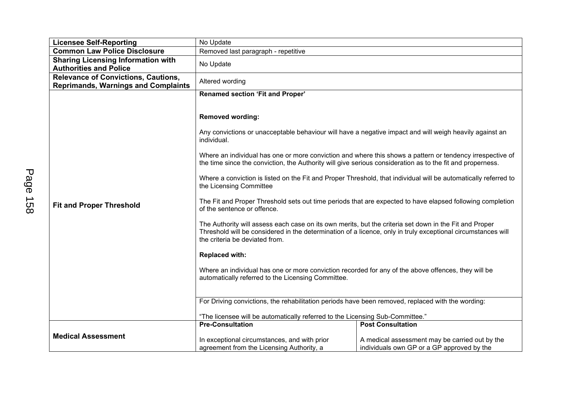| <b>Licensee Self-Reporting</b>                                                           | No Update                                                                                                                                                                                                                                                                                                                                                                                                                                                                                                                                                                                                                                                                                                                                                                                                                                                                                                                                                                                             |                                                                                                                                                                                                                                                                                                                                           |  |
|------------------------------------------------------------------------------------------|-------------------------------------------------------------------------------------------------------------------------------------------------------------------------------------------------------------------------------------------------------------------------------------------------------------------------------------------------------------------------------------------------------------------------------------------------------------------------------------------------------------------------------------------------------------------------------------------------------------------------------------------------------------------------------------------------------------------------------------------------------------------------------------------------------------------------------------------------------------------------------------------------------------------------------------------------------------------------------------------------------|-------------------------------------------------------------------------------------------------------------------------------------------------------------------------------------------------------------------------------------------------------------------------------------------------------------------------------------------|--|
| <b>Common Law Police Disclosure</b>                                                      | Removed last paragraph - repetitive                                                                                                                                                                                                                                                                                                                                                                                                                                                                                                                                                                                                                                                                                                                                                                                                                                                                                                                                                                   |                                                                                                                                                                                                                                                                                                                                           |  |
| <b>Sharing Licensing Information with</b><br><b>Authorities and Police</b>               | No Update                                                                                                                                                                                                                                                                                                                                                                                                                                                                                                                                                                                                                                                                                                                                                                                                                                                                                                                                                                                             |                                                                                                                                                                                                                                                                                                                                           |  |
| <b>Relevance of Convictions, Cautions,</b><br><b>Reprimands, Warnings and Complaints</b> | Altered wording                                                                                                                                                                                                                                                                                                                                                                                                                                                                                                                                                                                                                                                                                                                                                                                                                                                                                                                                                                                       |                                                                                                                                                                                                                                                                                                                                           |  |
| <b>Fit and Proper Threshold</b>                                                          | Renamed section 'Fit and Proper'<br><b>Removed wording:</b><br>Any convictions or unacceptable behaviour will have a negative impact and will weigh heavily against an<br>individual.<br>the time since the conviction, the Authority will give serious consideration as to the fit and properness.<br>the Licensing Committee<br>of the sentence or offence.<br>The Authority will assess each case on its own merits, but the criteria set down in the Fit and Proper<br>Threshold will be considered in the determination of a licence, only in truly exceptional circumstances will<br>the criteria be deviated from.<br><b>Replaced with:</b><br>Where an individual has one or more conviction recorded for any of the above offences, they will be<br>automatically referred to the Licensing Committee.<br>For Driving convictions, the rehabilitation periods have been removed, replaced with the wording:<br>"The licensee will be automatically referred to the Licensing Sub-Committee." | Where an individual has one or more conviction and where this shows a pattern or tendency irrespective of<br>Where a conviction is listed on the Fit and Proper Threshold, that individual will be automatically referred to<br>The Fit and Proper Threshold sets out time periods that are expected to have elapsed following completion |  |
|                                                                                          | <b>Pre-Consultation</b>                                                                                                                                                                                                                                                                                                                                                                                                                                                                                                                                                                                                                                                                                                                                                                                                                                                                                                                                                                               | <b>Post Consultation</b>                                                                                                                                                                                                                                                                                                                  |  |
| <b>Medical Assessment</b>                                                                | In exceptional circumstances, and with prior<br>agreement from the Licensing Authority, a                                                                                                                                                                                                                                                                                                                                                                                                                                                                                                                                                                                                                                                                                                                                                                                                                                                                                                             | A medical assessment may be carried out by the<br>individuals own GP or a GP approved by the                                                                                                                                                                                                                                              |  |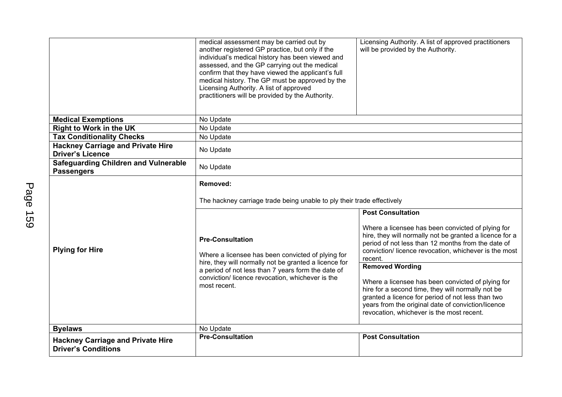|                                                                        | medical assessment may be carried out by<br>another registered GP practice, but only if the<br>individual's medical history has been viewed and                                             | Licensing Authority. A list of approved practitioners<br>will be provided by the Authority.                                                                                                                                                                    |  |
|------------------------------------------------------------------------|---------------------------------------------------------------------------------------------------------------------------------------------------------------------------------------------|----------------------------------------------------------------------------------------------------------------------------------------------------------------------------------------------------------------------------------------------------------------|--|
|                                                                        | assessed, and the GP carrying out the medical                                                                                                                                               |                                                                                                                                                                                                                                                                |  |
|                                                                        | confirm that they have viewed the applicant's full                                                                                                                                          |                                                                                                                                                                                                                                                                |  |
|                                                                        | medical history. The GP must be approved by the<br>Licensing Authority. A list of approved                                                                                                  |                                                                                                                                                                                                                                                                |  |
|                                                                        | practitioners will be provided by the Authority.                                                                                                                                            |                                                                                                                                                                                                                                                                |  |
|                                                                        |                                                                                                                                                                                             |                                                                                                                                                                                                                                                                |  |
| <b>Medical Exemptions</b>                                              | No Update                                                                                                                                                                                   |                                                                                                                                                                                                                                                                |  |
| <b>Right to Work in the UK</b>                                         | No Update                                                                                                                                                                                   |                                                                                                                                                                                                                                                                |  |
| <b>Tax Conditionality Checks</b>                                       | No Update                                                                                                                                                                                   |                                                                                                                                                                                                                                                                |  |
| <b>Hackney Carriage and Private Hire</b><br><b>Driver's Licence</b>    | No Update                                                                                                                                                                                   |                                                                                                                                                                                                                                                                |  |
| <b>Safeguarding Children and Vulnerable</b><br><b>Passengers</b>       | No Update                                                                                                                                                                                   |                                                                                                                                                                                                                                                                |  |
|                                                                        | Removed:                                                                                                                                                                                    |                                                                                                                                                                                                                                                                |  |
| <b>Plying for Hire</b>                                                 | The hackney carriage trade being unable to ply their trade effectively                                                                                                                      |                                                                                                                                                                                                                                                                |  |
|                                                                        |                                                                                                                                                                                             | <b>Post Consultation</b>                                                                                                                                                                                                                                       |  |
|                                                                        | <b>Pre-Consultation</b><br>Where a licensee has been convicted of plying for<br>hire, they will normally not be granted a licence for<br>a period of not less than 7 years form the date of | Where a licensee has been convicted of plying for<br>hire, they will normally not be granted a licence for a<br>period of not less than 12 months from the date of<br>conviction/ licence revocation, whichever is the most<br>recent.                         |  |
|                                                                        |                                                                                                                                                                                             | <b>Removed Wording</b>                                                                                                                                                                                                                                         |  |
|                                                                        | conviction/ licence revocation, whichever is the<br>most recent.                                                                                                                            | Where a licensee has been convicted of plying for<br>hire for a second time, they will normally not be<br>granted a licence for period of not less than two<br>years from the original date of conviction/licence<br>revocation, whichever is the most recent. |  |
| <b>Byelaws</b>                                                         | No Update                                                                                                                                                                                   |                                                                                                                                                                                                                                                                |  |
| <b>Hackney Carriage and Private Hire</b><br><b>Driver's Conditions</b> | <b>Pre-Consultation</b>                                                                                                                                                                     | <b>Post Consultation</b>                                                                                                                                                                                                                                       |  |